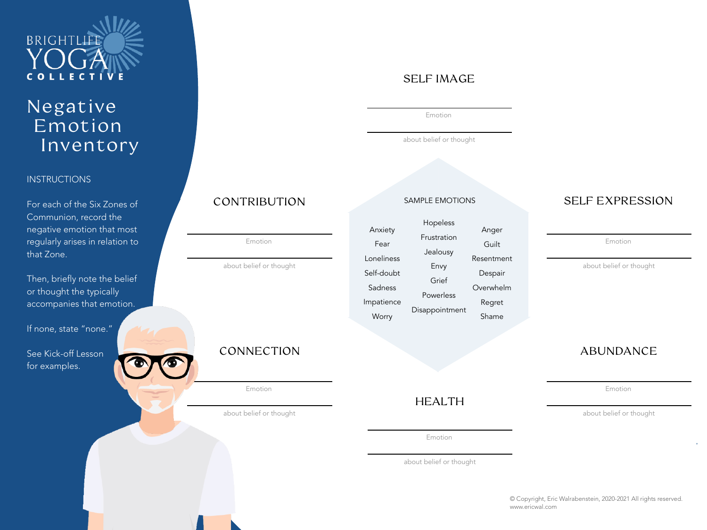

## Negative Emotion Inventory

#### **INSTRUCTIONS**

For each of the Six Zones of Communion, record the negative emotion that most regularly arises in relation to that Zone.

Then, briefly note the belief or thought the typically accompanies that emotion.

If none, state "none."

See Kick-off Lesson for examples.



Emotion

about belief or thought

#### CONNECTION

Emotion

about belief or thought

SELF IMAGE

Emotion

about belief or thought

#### SAMPLE EMOTIONS

|            | Hopeless       |            |
|------------|----------------|------------|
| Anxiety    |                | Anger      |
| Fear       | Frustration    | Guilt      |
|            | Jealousy       |            |
| Loneliness |                | Resentment |
| Self-doubt | Envy           | Despair    |
|            | Grief          |            |
| Sadness    |                | Overwhelm  |
| Impatience | Powerless      | Regret     |
|            | Disappointment |            |
| Worry      |                | Shame      |

### CONTRIBUTION SAMPLE EMOTIONS SELF EXPRESSION

Emotion

about belief or thought

#### ABUNDANCE

Emotion

about belief or thought

Emotion

HEALTH

about belief or thought